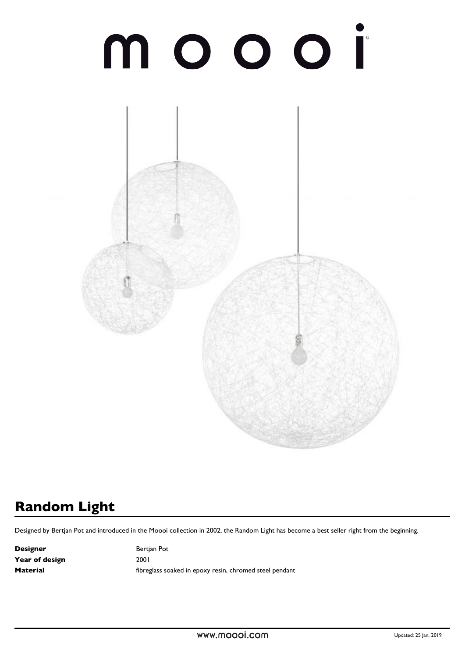# n



# **Random Light**

Designed by Bertjan Pot and introduced in the Moooi collection in 2002, the Random Light has become a best seller right from the beginning.

**Designer** Bertjan Pot Year of design 2001

**Material Material https://educeros/interest in epoxy resin, chromed steel pendant**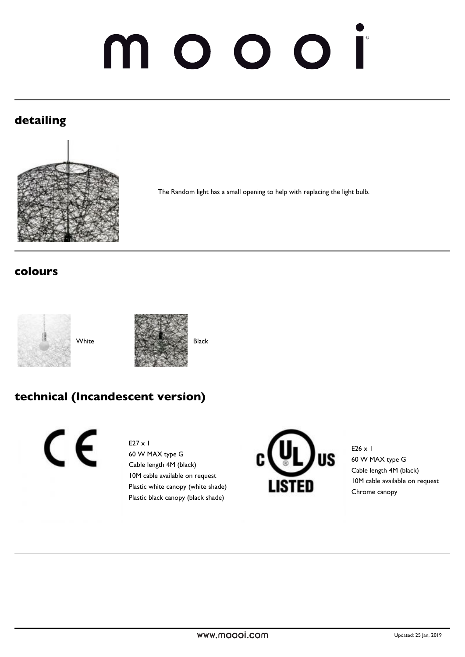# OO N O  $\Box$

# **detailing**



The Random light has a small opening to help with replacing the light bulb.

### **colours**





### **technical (Incandescent version)**

CE

#### E27 x 1

60 W MAX type G Cable length 4M (black) 10M cable available on request Plastic white canopy (white shade) Plastic black canopy (black shade)



E26  $\times$  1 60 W MAX type G Cable length 4M (black) 10M cable available on request Chrome canopy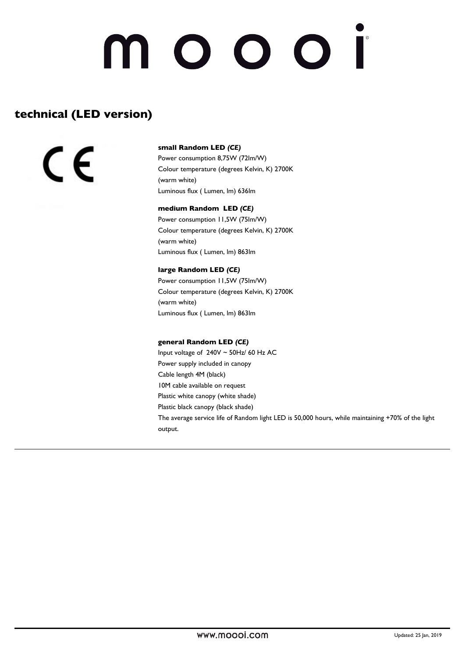# noooi

### **technical (LED version)**

C E

#### **small Random LED** *(CE)*

Power consumption 8,75W (72lm/W) Colour temperature (degrees Kelvin, K) 2700K (warm white) Luminous flux ( Lumen, lm) 636lm

#### **medium Random LED** *(CE)*

Power consumption 11,5W (75lm/W) Colour temperature (degrees Kelvin, K) 2700K (warm white) Luminous flux ( Lumen, lm) 863lm

#### **large Random LED** *(CE)*

Power consumption 11,5W (75lm/W) Colour temperature (degrees Kelvin, K) 2700K (warm white) Luminous flux ( Lumen, lm) 863lm

#### **general Random LED** *(CE)*

Input voltage of 240V ~ 50Hz/ 60 Hz AC Power supply included in canopy Cable length 4M (black) 10M cable available on request Plastic white canopy (white shade) Plastic black canopy (black shade) The average service life of Random light LED is 50,000 hours, while maintaining +70% of the light output.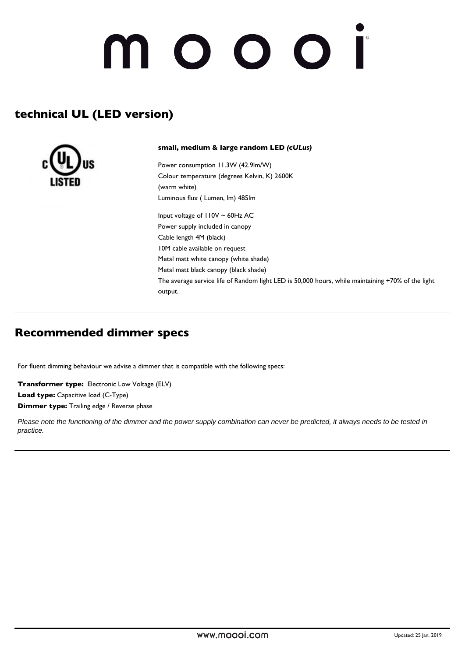# 10001

# **technical UL (LED version)**



**small, medium & large random LED** *(cULus)*

Power consumption 11.3W (42.9lm/W) Colour temperature (degrees Kelvin, K) 2600K (warm white) Luminous flux ( Lumen, lm) 485lm

Input voltage of 110V ~ 60Hz AC Power supply included in canopy Cable length 4M (black) 10M cable available on request Metal matt white canopy (white shade) Metal matt black canopy (black shade) The average service life of Random light LED is 50,000 hours, while maintaining +70% of the light output.

### **Recommended dimmer specs**

For fluent dimming behaviour we advise a dimmer that is compatible with the following specs:

**Transformer type:** Electronic Low Voltage (ELV) **Load type:** Capacitive load (C-Type) **Dimmer type:** Trailing edge / Reverse phase

Please note the functioning of the dimmer and the power supply combination can never be predicted, it always needs to be tested in practice.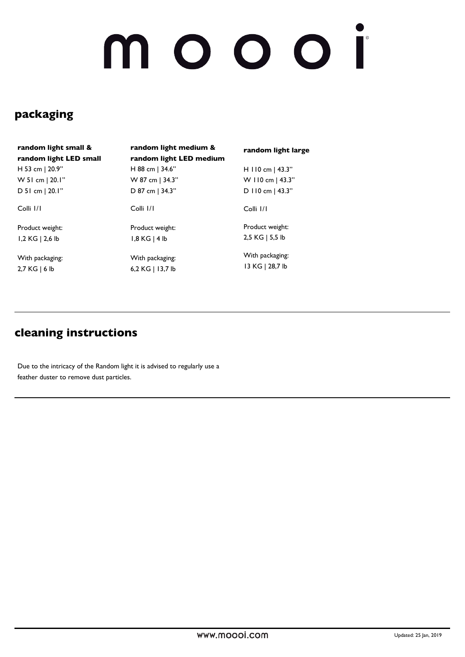# NOOOI

# **packaging**

| random light small &   |
|------------------------|
| random light LED small |
| H 53 cm   20.9"        |
| W 51 cm   20.1"        |
| $D$ 51 cm   20.1"      |

Colli 1/1

Product weight: 1,2 KG | 2,6 lb

With packaging: 2,7 KG | 6 lb

**random light medium & random light LED medium** H 88 cm | 34.6" W 87 cm | 34.3" D 87 cm | 34.3"

Colli 1/1

Product weight: 1,8 KG | 4 lb

With packaging: 6,2 KG | 13,7 lb **random light large**

H 110 cm | 43.3" W 110 cm | 43.3" D 110 cm | 43.3"

Colli 1/1

Product weight: 2,5 KG | 5,5 lb

With packaging: 13 KG | 28,7 lb

## **cleaning instructions**

Due to the intricacy of the Random light it is advised to regularly use a feather duster to remove dust particles.